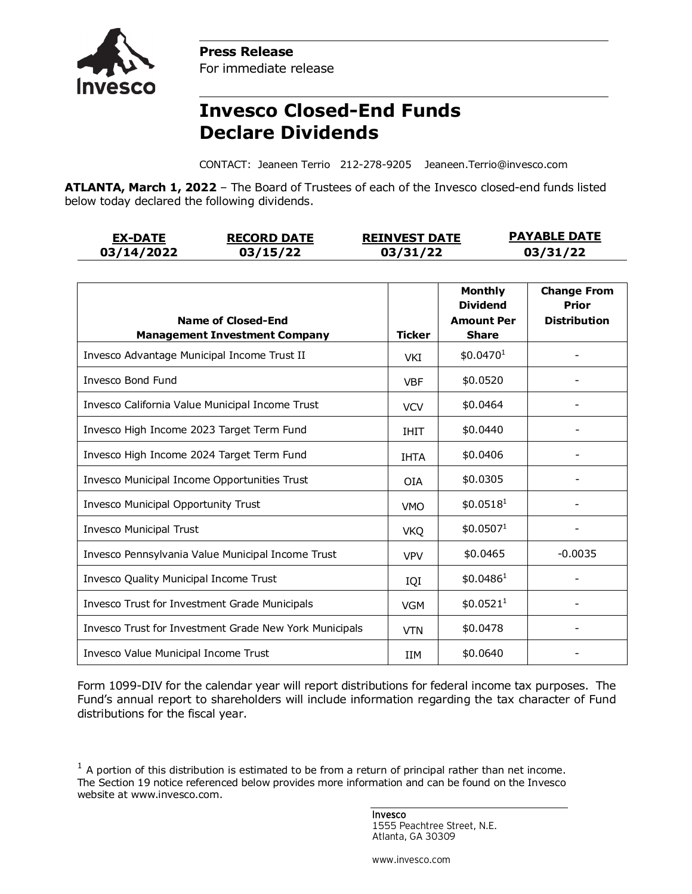



**Invesco Closed-End Funds Declare Dividends**

CONTACT: Jeaneen Terrio 212-278-9205 Jeaneen.Terrio@invesco.com

**ATLANTA, March 1, 2022** – The Board of Trustees of each of the Invesco closed-end funds listed below today declared the following dividends.

| <b>EX-DATE</b> | <b>RECORD DATE</b> | <b>REINVEST DATE</b> | <b>PAYABLE DATE</b> |
|----------------|--------------------|----------------------|---------------------|
| 03/14/2022     | 03/15/22           | 03/31/22             | 03/31/22            |

| <b>Name of Closed-End</b><br><b>Management Investment Company</b> | <b>Ticker</b> | <b>Monthly</b><br><b>Dividend</b><br><b>Amount Per</b><br><b>Share</b> | <b>Change From</b><br>Prior<br><b>Distribution</b> |
|-------------------------------------------------------------------|---------------|------------------------------------------------------------------------|----------------------------------------------------|
| Invesco Advantage Municipal Income Trust II                       | VKI           | \$0.0470 <sup>1</sup>                                                  |                                                    |
| Invesco Bond Fund                                                 | <b>VBF</b>    | \$0.0520                                                               |                                                    |
| Invesco California Value Municipal Income Trust                   | <b>VCV</b>    | \$0.0464                                                               |                                                    |
| Invesco High Income 2023 Target Term Fund                         | <b>IHIT</b>   | \$0.0440                                                               |                                                    |
| Invesco High Income 2024 Target Term Fund                         | <b>IHTA</b>   | \$0.0406                                                               |                                                    |
| Invesco Municipal Income Opportunities Trust                      | <b>OIA</b>    | \$0.0305                                                               |                                                    |
| Invesco Municipal Opportunity Trust                               | <b>VMO</b>    | \$0.0518 <sup>1</sup>                                                  |                                                    |
| <b>Invesco Municipal Trust</b>                                    | <b>VKQ</b>    | \$0.0507 <sup>1</sup>                                                  |                                                    |
| Invesco Pennsylvania Value Municipal Income Trust                 | <b>VPV</b>    | \$0.0465                                                               | $-0.0035$                                          |
| Invesco Quality Municipal Income Trust                            |               | \$0.0486 <sup>1</sup>                                                  |                                                    |
| Invesco Trust for Investment Grade Municipals                     | <b>VGM</b>    | \$0.0521 <sup>1</sup>                                                  |                                                    |
| Invesco Trust for Investment Grade New York Municipals            | <b>VTN</b>    | \$0.0478                                                               |                                                    |
| Invesco Value Municipal Income Trust                              | <b>IIM</b>    | \$0.0640                                                               |                                                    |

Form 1099-DIV for the calendar year will report distributions for federal income tax purposes. The Fund's annual report to shareholders will include information regarding the tax character of Fund distributions for the fiscal year.

Invesco 1555 Peachtree Street, N.E. Atlanta, GA 30309

www.invesco.com

 $1$  A portion of this distribution is estimated to be from a return of principal rather than net income. The Section 19 notice referenced below provides more information and can be found on the Invesco website at www.invesco.com.